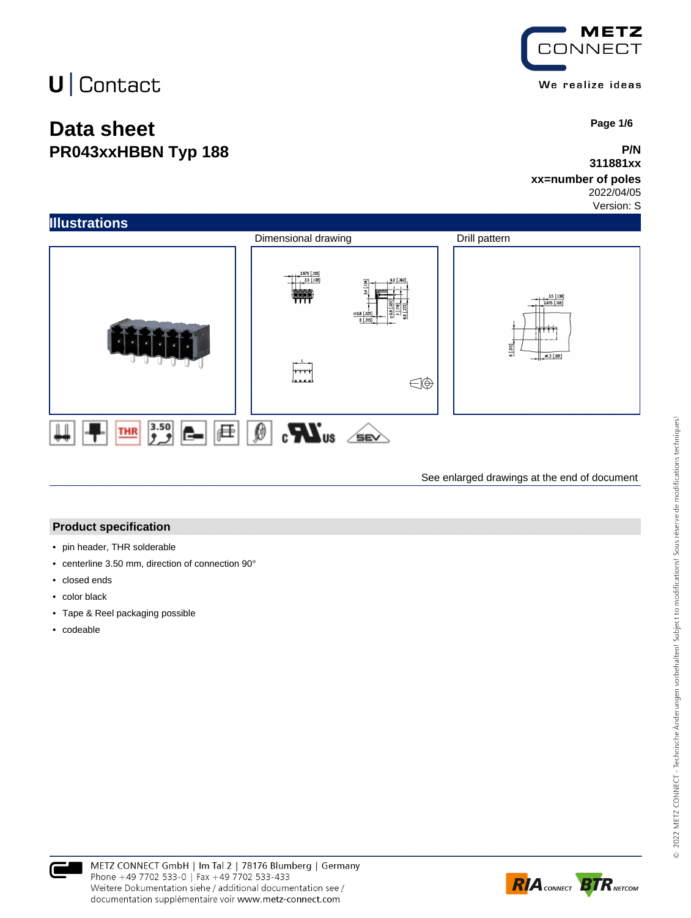## **Data sheet PR043xxHBBN Typ 188**



 **Page 1/6**

#### **P/N 311881xx**

### **xx=number of poles**

2022/04/05 Version: S



See enlarged drawings at the end of document

#### **Product specification**

- pin header, THR solderable
- centerline 3.50 mm, direction of connection 90°
- closed ends
- color black
- Tape & Reel packaging possible
- codeable



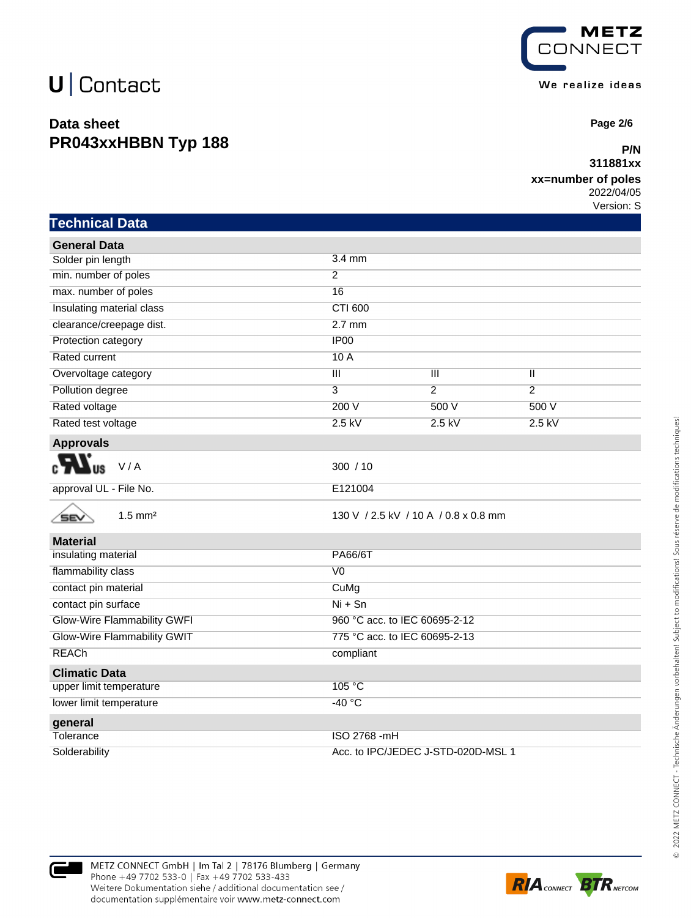### **Data sheet PR043xxHBBN Typ 188**



 **Page 2/6**

#### **P/N 311881xx**

### **xx=number of poles**

2022/04/05 Version: S

|  |  | Technical Data |
|--|--|----------------|
|  |  |                |

| <b>General Data</b>                |                                      |                |                |  |
|------------------------------------|--------------------------------------|----------------|----------------|--|
| Solder pin length                  | 3.4 mm                               |                |                |  |
| min. number of poles               | $\overline{2}$                       |                |                |  |
| max. number of poles               | 16                                   |                |                |  |
| Insulating material class          | <b>CTI 600</b>                       |                |                |  |
| clearance/creepage dist.           | $2.7$ mm                             |                |                |  |
| Protection category                | IP <sub>00</sub>                     |                |                |  |
| <b>Rated current</b>               | 10A                                  |                |                |  |
| Overvoltage category               | $\overline{\mathsf{III}}$            | $\mathbb{H}$   | $\mathbf{I}$   |  |
| Pollution degree                   | 3                                    | $\overline{2}$ | $\overline{2}$ |  |
| Rated voltage                      | 200 V                                | 500 V          | 500 V          |  |
| Rated test voltage                 | $2.5$ kV                             | $2.5$ kV       | $2.5$ kV       |  |
| <b>Approvals</b>                   |                                      |                |                |  |
| V/A                                | 300 / 10                             |                |                |  |
| approval UL - File No.             | E121004                              |                |                |  |
| $1.5$ mm <sup>2</sup><br>SEV       | 130 V / 2.5 kV / 10 A / 0.8 x 0.8 mm |                |                |  |
| <b>Material</b>                    |                                      |                |                |  |
| insulating material                | <b>PA66/6T</b>                       |                |                |  |
| flammability class                 | $\overline{V}$                       |                |                |  |
| contact pin material               | CuMg                                 |                |                |  |
| contact pin surface                | $Ni + Sn$                            |                |                |  |
| <b>Glow-Wire Flammability GWFI</b> | 960 °C acc. to IEC 60695-2-12        |                |                |  |
| <b>Glow-Wire Flammability GWIT</b> | 775 °C acc. to IEC 60695-2-13        |                |                |  |
| <b>REACh</b>                       | compliant                            |                |                |  |
| <b>Climatic Data</b>               |                                      |                |                |  |
| upper limit temperature            | 105 °C                               |                |                |  |
| lower limit temperature            | $-40 °C$                             |                |                |  |
| general                            |                                      |                |                |  |
| Tolerance                          | ISO 2768 - mH                        |                |                |  |
| Solderability                      | Acc. to IPC/JEDEC J-STD-020D-MSL 1   |                |                |  |



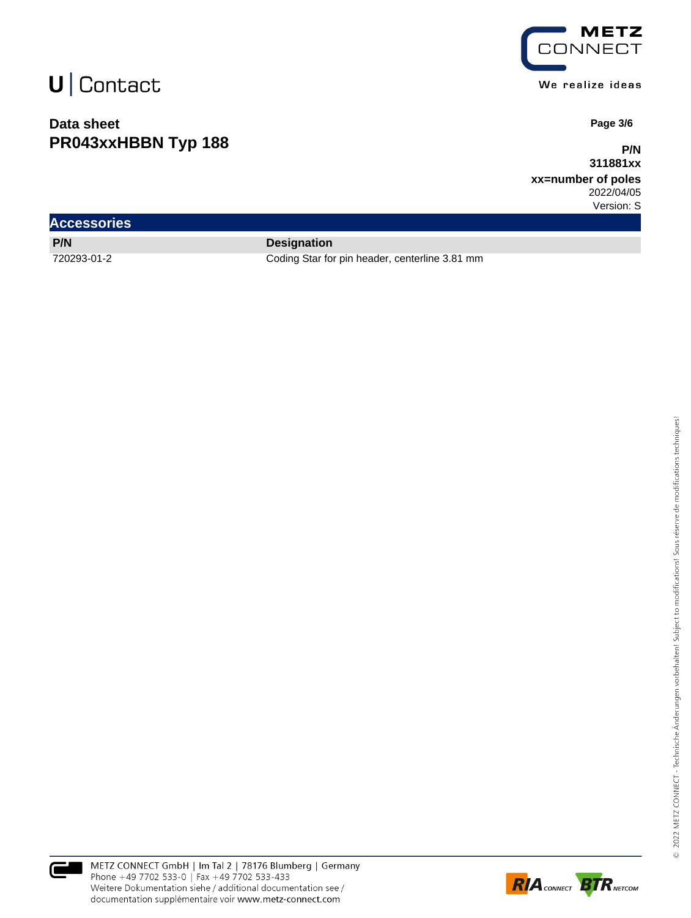### **Data sheet PR043xxHBBN Typ 188**



 **Page 3/6**

**P/N 311881xx**

**xx=number of poles** 2022/04/05

Version: S

| <b>Accessories</b> |                                                |  |  |  |  |
|--------------------|------------------------------------------------|--|--|--|--|
| <b>P/N</b>         | <b>Designation</b>                             |  |  |  |  |
| 720293-01-2        | Coding Star for pin header, centerline 3.81 mm |  |  |  |  |



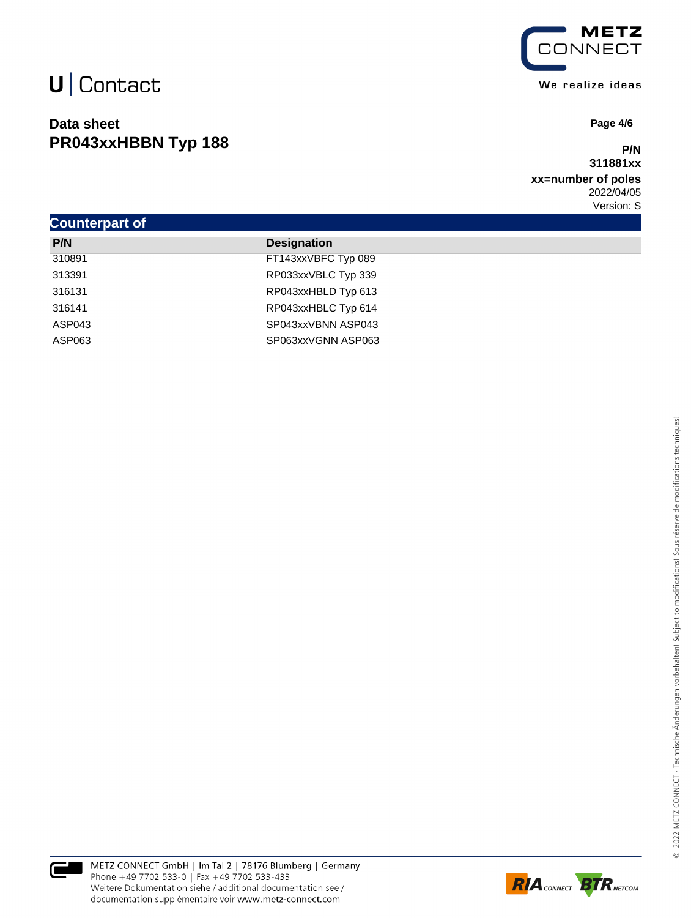### **Data sheet PR043xxHBBN Typ 188**



 **Page 4/6**

#### **P/N 311881xx**

#### **xx=number of poles** 2022/04/05 Version: S

| <b>Counterpart of</b> |                     |  |  |  |  |
|-----------------------|---------------------|--|--|--|--|
| P/N                   | <b>Designation</b>  |  |  |  |  |
| 310891                | FT143xxVBFC Typ 089 |  |  |  |  |
| 313391                | RP033xxVBLC Typ 339 |  |  |  |  |
| 316131                | RP043xxHBLD Typ 613 |  |  |  |  |
| 316141                | RP043xxHBLC Typ 614 |  |  |  |  |
| ASP043                | SP043xxVBNN ASP043  |  |  |  |  |
| ASP063                | SP063xxVGNN ASP063  |  |  |  |  |



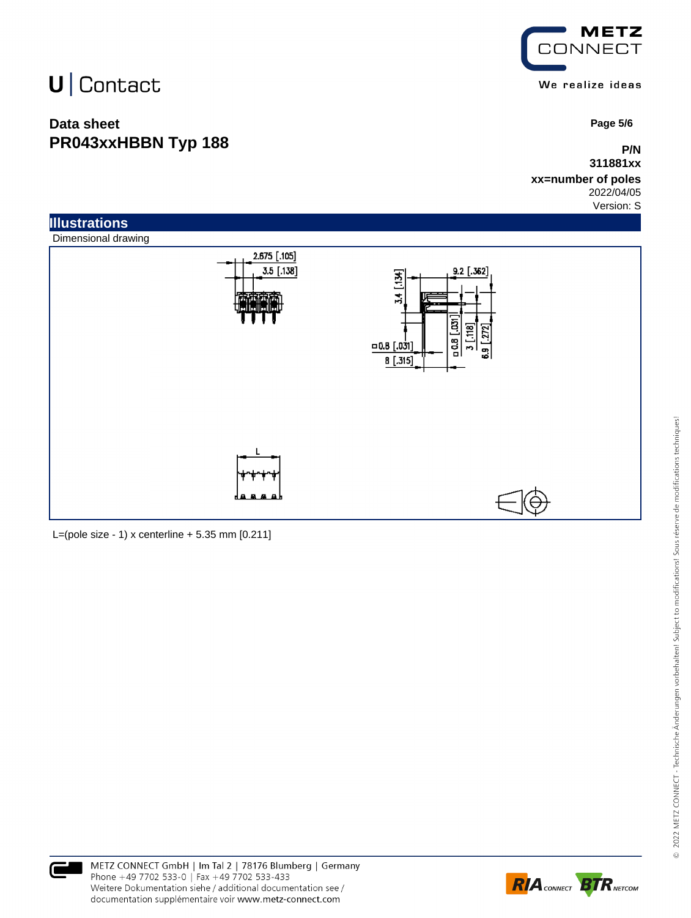### **Data sheet PR043xxHBBN Typ 188**



 **Page 5/6**

### **P/N 311881xx**

#### **xx=number of poles** 2022/04/05

Version: S



L=(pole size - 1) x centerline  $+ 5.35$  mm  $[0.211]$